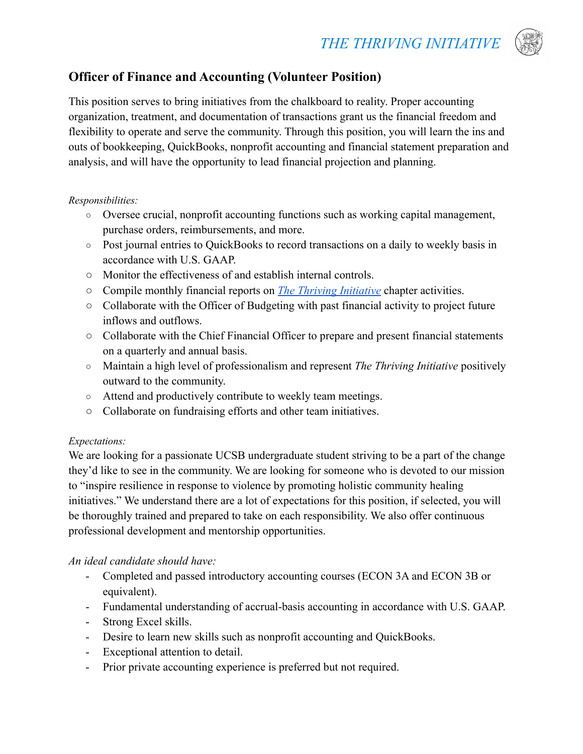

# **Officer of Finance and Accounting (Volunteer Position)**

This position serves to bring initiatives from the chalkboard to reality. Proper accounting organization, treatment, and documentation of transactions grant us the financial freedom and flexibility to operate and serve the community. Through this position, you will learn the ins and outs of bookkeeping, QuickBooks, nonprofit accounting and financial statement preparation and analysis, and will have the opportunity to lead financial projection and planning.

### *Responsibilities:*

- **○** Oversee crucial, nonprofit accounting functions such as working capital management, purchase orders, reimbursements, and more.
- **○** Post journal entries to QuickBooks to record transactions on a daily to weekly basis in accordance with U.S. GAAP.
- Monitor the effectiveness of and establish internal controls.
- Compile monthly financial reports on *[The Thriving](https://www.thethrivinginitiative.org) Initiative* chapter activities.
- Collaborate with the Officer of Budgeting with past financial activity to project future inflows and outflows.
- Collaborate with the Chief Financial Officer to prepare and present financial statements on a quarterly and annual basis.
- Maintain a high level of professionalism and represent *The Thriving Initiative* positively outward to the community.
- Attend and productively contribute to weekly team meetings.
- Collaborate on fundraising efforts and other team initiatives.

### *Expectations:*

We are looking for a passionate UCSB undergraduate student striving to be a part of the change they'd like to see in the community. We are looking for someone who is devoted to our mission to "inspire resilience in response to violence by promoting holistic community healing initiatives." We understand there are a lot of expectations for this position, if selected, you will be thoroughly trained and prepared to take on each responsibility. We also offer continuous professional development and mentorship opportunities.

## *An ideal candidate should have:*

- Completed and passed introductory accounting courses (ECON 3A and ECON 3B or equivalent).
- Fundamental understanding of accrual-basis accounting in accordance with U.S. GAAP.
- Strong Excel skills.
- Desire to learn new skills such as nonprofit accounting and QuickBooks.
- Exceptional attention to detail.
- Prior private accounting experience is preferred but not required.